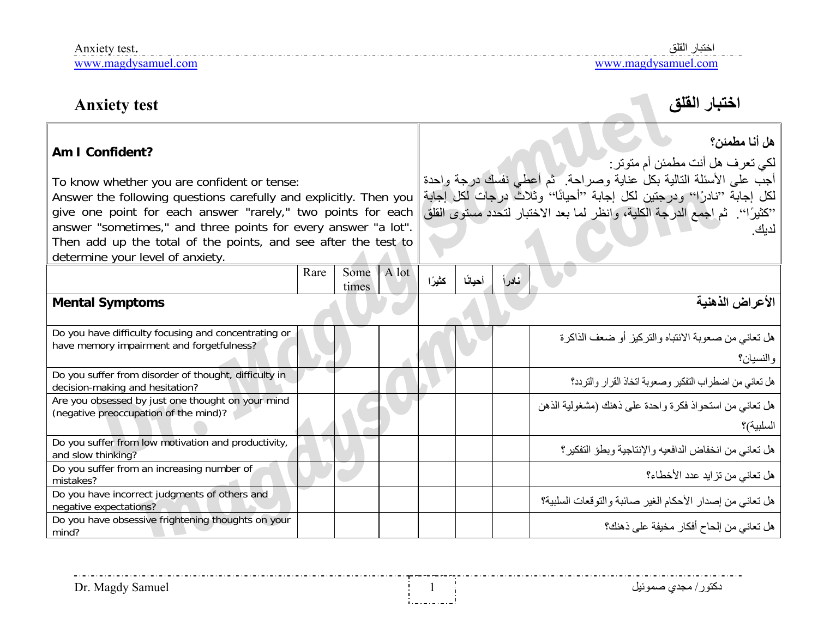| tac<br>$\rm{Ml}\lambda$<br>wo u | القلة |
|---------------------------------|-------|
| <b>A</b>                        |       |

## **اختبار القلق test Anxiety**

| Am I Confident?<br>To know whether you are confident or tense:<br>Answer the following questions carefully and explicitly. Then you<br>give one point for each answer "rarely," two points for each<br>answer "sometimes," and three points for every answer "a lot".<br>Then add up the total of the points, and see after the test to |      | هل أنا مطمئن؟<br>لكي تعرف هل أنت مطمئن أم متوتر :<br>أجب على الأسئلة التالية بكل عناية وصراحة ِ ثم أعطي نفسك درجة واحدة<br>لكل إجابة ''نادرًا'' ودرجتين لكل إجابة ''أحيانًا'' وثلاثٌ درجات لكل إجابة<br>''كثيرًا''. ثم اجمع الدرجة الكلية، وانظر لما بعد الاختبار لتحدد مستوى القلق<br>لدبك |       |        |         |       |                                                                     |  |
|-----------------------------------------------------------------------------------------------------------------------------------------------------------------------------------------------------------------------------------------------------------------------------------------------------------------------------------------|------|---------------------------------------------------------------------------------------------------------------------------------------------------------------------------------------------------------------------------------------------------------------------------------------------|-------|--------|---------|-------|---------------------------------------------------------------------|--|
| determine your level of anxiety.                                                                                                                                                                                                                                                                                                        |      |                                                                                                                                                                                                                                                                                             |       |        |         |       |                                                                     |  |
|                                                                                                                                                                                                                                                                                                                                         | Rare | Some<br>times                                                                                                                                                                                                                                                                               | A lot | كثيرًا | أحيائًا | نادرأ |                                                                     |  |
| <b>Mental Symptoms</b>                                                                                                                                                                                                                                                                                                                  |      |                                                                                                                                                                                                                                                                                             |       |        |         |       | الأعراض الذهنية                                                     |  |
| Do you have difficulty focusing and concentrating or<br>have memory impairment and forgetfulness?                                                                                                                                                                                                                                       |      |                                                                                                                                                                                                                                                                                             |       |        |         |       | هل تعاني من صعوبة الانتباه والتركيز أو ضعف الذاكرة<br>والنسيان؟     |  |
| Do you suffer from disorder of thought, difficulty in<br>decision-making and hesitation?                                                                                                                                                                                                                                                |      |                                                                                                                                                                                                                                                                                             |       |        |         |       | هل تعاني من اضطراب التفكير وصعوبة اتخاذ القرار والتردد؟             |  |
| Are you obsessed by just one thought on your mind<br>(negative preoccupation of the mind)?                                                                                                                                                                                                                                              |      |                                                                                                                                                                                                                                                                                             |       |        |         |       | هل تعاني من استحواذ فكرة واحدة على ذهنك (مشغولية الذهن<br>السلبية)؟ |  |
| Do you suffer from low motivation and productivity,<br>and slow thinking?                                                                                                                                                                                                                                                               |      |                                                                                                                                                                                                                                                                                             |       |        |         |       | هل تعاني من انخفاض الدافعيه والإنتاجية وبطؤ التفكير؟                |  |
| Do you suffer from an increasing number of<br>mistakes?                                                                                                                                                                                                                                                                                 |      |                                                                                                                                                                                                                                                                                             |       |        |         |       | هل تعاني من تزايد عدد الأخطاء؟                                      |  |
| Do you have incorrect judgments of others and<br>negative expectations?                                                                                                                                                                                                                                                                 |      |                                                                                                                                                                                                                                                                                             |       |        |         |       | هل تعانى من إصدار الأحكام الغير صائبة والتوقعات السلبية؟            |  |
| Do you have obsessive frightening thoughts on your<br>mind?                                                                                                                                                                                                                                                                             |      |                                                                                                                                                                                                                                                                                             |       |        |         |       | هل تعاني من إلحاح أفكار مخيفة على ذهنك؟                             |  |

 $\frac{1}{2}$  ,  $\frac{1}{2}$ 

\_\_\_\_\_\_\_\_\_\_\_\_\_\_\_\_\_\_\_\_\_\_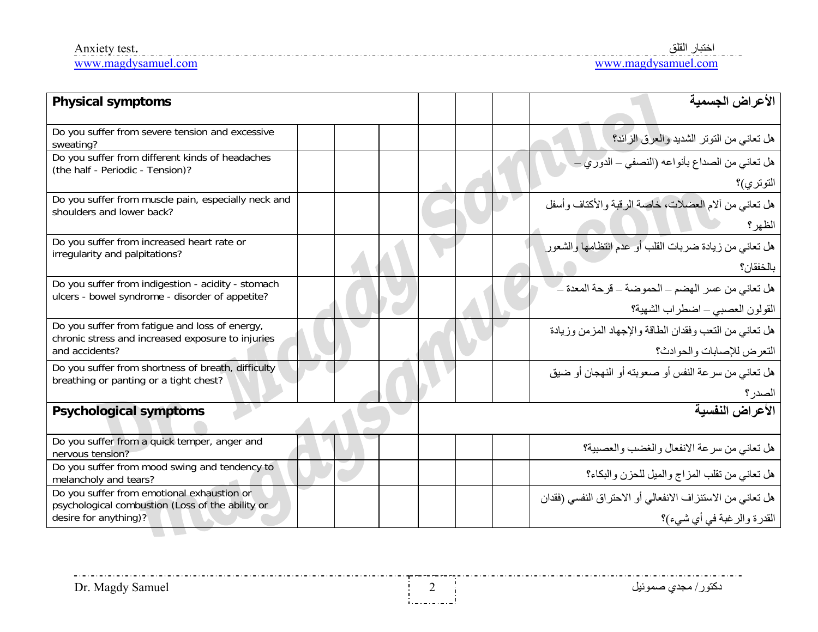Anxiety test.<br>www.magdysamuel.com

اختبار القلق<br>www.magdysamuel.com

| <b>Physical symptoms</b>                                                                                              |  |  |  | الأعراض الجسمية                                                                     |
|-----------------------------------------------------------------------------------------------------------------------|--|--|--|-------------------------------------------------------------------------------------|
| Do you suffer from severe tension and excessive<br>sweating?                                                          |  |  |  | هل تعانى من التوتر الشديد والعرق الزائد؟                                            |
| Do you suffer from different kinds of headaches<br>(the half - Periodic - Tension)?                                   |  |  |  | هل تعاني من الصداع بأنواعه (النصفي – الدوري –                                       |
|                                                                                                                       |  |  |  | التوتري)؟                                                                           |
| Do you suffer from muscle pain, especially neck and<br>shoulders and lower back?                                      |  |  |  | هل تعاني من ألام العضلات، خاصة الرقبة والأكتاف وأسفل<br>الظهر ؟                     |
| Do you suffer from increased heart rate or<br>irregularity and palpitations?                                          |  |  |  | هل تعاني من زيادة ضربات القلب أو عدم انتظامها والشعورا                              |
|                                                                                                                       |  |  |  | بالخفقان؟                                                                           |
| Do you suffer from indigestion - acidity - stomach<br>ulcers - bowel syndrome - disorder of appetite?                 |  |  |  | هل تعاني من عسر الهضم ــ الحموضة ــ قرحة المعدة ــ                                  |
|                                                                                                                       |  |  |  | القولون العصبي – اضطراب الشهية؟                                                     |
| Do you suffer from fatigue and loss of energy,<br>chronic stress and increased exposure to injuries<br>and accidents? |  |  |  | هل تعاني من التعب وفقدان الطاقة والإجهاد المزمن وزيادة<br>التعرض للإصابات والحوادث؟ |
| Do you suffer from shortness of breath, difficulty<br>breathing or panting or a tight chest?                          |  |  |  | هل تعاني من سرعة النفس أو صعوبته أو النهجان أو ضبق                                  |
|                                                                                                                       |  |  |  | الصدر ؟                                                                             |
| <b>Psychological symptoms</b>                                                                                         |  |  |  | الأعراض النفسية                                                                     |
| Do you suffer from a quick temper, anger and<br>nervous tension?                                                      |  |  |  | هل تعانى من سرعة الانفعال والغضب والعصبية؟                                          |
| Do you suffer from mood swing and tendency to<br>melancholy and tears?                                                |  |  |  | هل تعاني من تقلب المزاج والميل للحزن والبكاء؟                                       |
| Do you suffer from emotional exhaustion or<br>psychological combustion (Loss of the ability or                        |  |  |  | هل تعاني من الاستنز اف الانفعالي أو الاحتراق النفسي (فقدان                          |
| desire for anything)?                                                                                                 |  |  |  | القدرة والرغبة في أي شيء)؟                                                          |

**CALL CALL** 

<u>i. . . . . . . . . . i</u>

a . a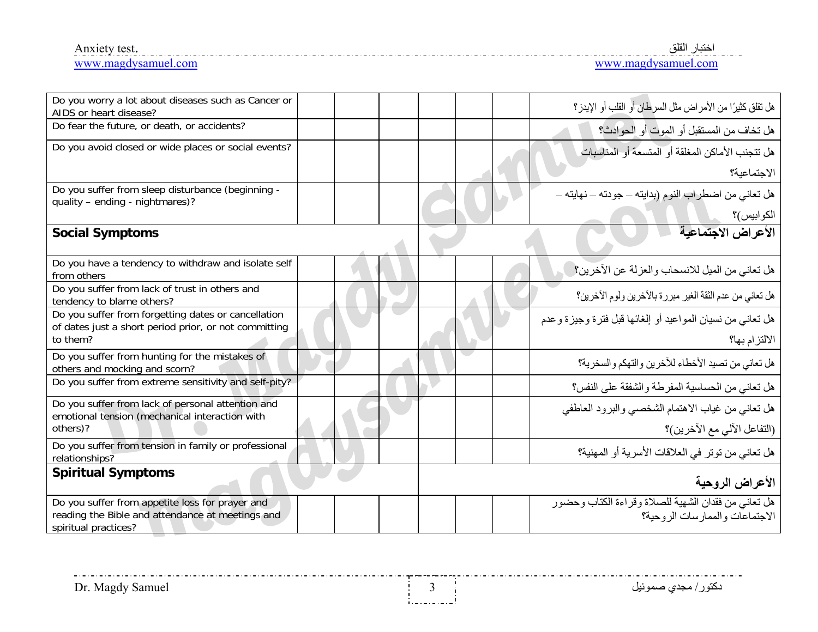دكتور/ مجدي صموئيل 3 Samuel Magdy .Dr

. \_ . \_ . \_ . \_ . \_ . \_ . \_ . \_ . \_

| -<br>-- |
|---------|
|         |

. . . . . . . . . . . . . . . . . . .

| Do fear the future, or death, or accidents?                                                                  |  |  |  | هل تخاف من المستقبل أو الموت أو الحوادث؟                  |
|--------------------------------------------------------------------------------------------------------------|--|--|--|-----------------------------------------------------------|
| Do you avoid closed or wide places or social events?                                                         |  |  |  | هل تتجنب الأماكن المغلقة أو المتسعة أو المناسبات          |
|                                                                                                              |  |  |  | الاجتماعبة؟                                               |
| Do you suffer from sleep disturbance (beginning -                                                            |  |  |  | هل تعاني من اضطراب النوم (بدايته ــ جودته ــ نهايته ــ    |
| quality - ending - nightmares)?                                                                              |  |  |  | الكوابيس)؟                                                |
| <b>Social Symptoms</b>                                                                                       |  |  |  | الأعراض الاجتماعية                                        |
| Do you have a tendency to withdraw and isolate self<br>from others                                           |  |  |  | هل تعانى من الميل للانسحاب والعزلة عن الأخرين؟            |
| Do you suffer from lack of trust in others and<br>tendency to blame others?                                  |  |  |  | هل تعانى من عدم الثقة الغير مبررة بالأخرين ولوم الأخرين؟  |
| Do you suffer from forgetting dates or cancellation<br>of dates just a short period prior, or not committing |  |  |  | هل تعاني من نسيان المواعيد أو إلغائها قبل فترة وجيزة وعدم |
| to them?                                                                                                     |  |  |  | الالتزام بها؟                                             |
| Do you suffer from hunting for the mistakes of<br>others and mocking and scorn?                              |  |  |  | هل تعانى من تصيد الأخطاء للأخرين والتهكم والسخرية؟        |
| Do you suffer from extreme sensitivity and self-pity?                                                        |  |  |  | هل تعانى من الحساسية المفرطة والشفقة على النفس؟           |
| Do you suffer from lack of personal attention and<br>emotional tension (mechanical interaction with          |  |  |  | هل تعاني من غياب الاهتمام الشخصبي والبرود العاطفي         |
| others)?                                                                                                     |  |  |  | (التفاعل الآلي مع الآخرين)؟                               |
| Do you suffer from tension in family or professional<br>relationships?                                       |  |  |  | هل تعاني من توتر في العلاقات الأسرية أو المهنية؟          |
| <b>Spiritual Symptoms</b>                                                                                    |  |  |  | الأعراض الروحية                                           |
| Do you suffer from appetite loss for prayer and                                                              |  |  |  | هل تعاني من فقدان الشهية للصلاة وقراءة الكتاب وحضور       |
| reading the Bible and attendance at meetings and<br>spiritual practices?                                     |  |  |  | الاجتماعات والممارسات الروحية؟                            |

Do you worry a lot about diseases such as Cancer or  $|\hspace{.1cm}|\hspace{.1cm}|\hspace{.1cm}|\hspace{.1cm}|\hspace{.1cm}|\hspace{.1cm}|\hspace{.1cm}|\hspace{.1cm}|\hspace{.1cm}|\hspace{.1cm}|\hspace{.1cm}|\hspace{.1cm}|\hspace{.1cm}|\hspace{.1cm}|\hspace{.1cm}|\hspace{.1cm}|\hspace{.1cm}|\hspace{.1cm}|\hspace{.1cm}|\hspace{.1cm}|\hspace{.1cm}$ 

اختبار القلق .<br>www.magdysamuel.com .<br>www.magdysamuel.com . www.magdysamuel.com www.magdysamuel.com

هل تقلق كثيرًا من الأمراض مثل السرطان أو القلب أو الإيدز؟